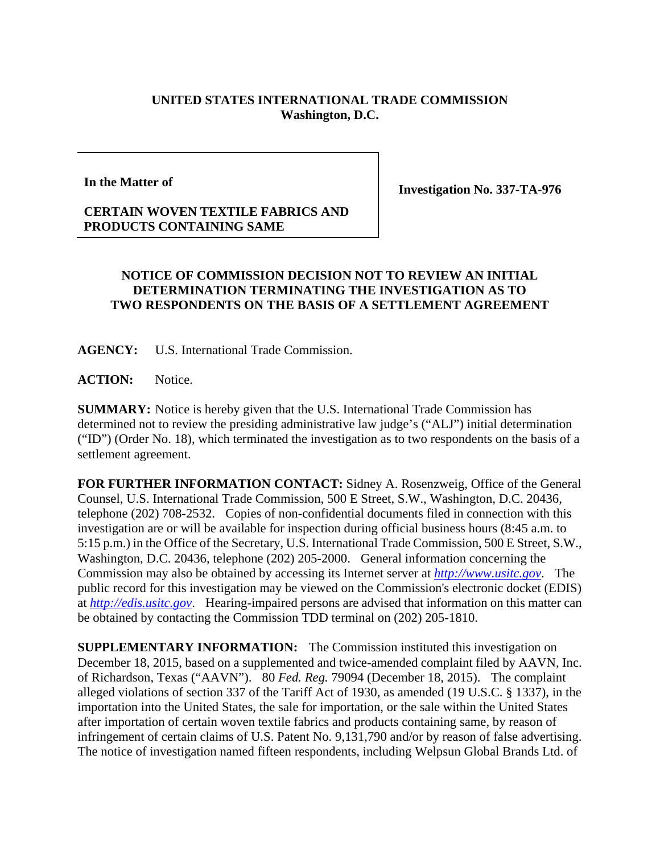## **UNITED STATES INTERNATIONAL TRADE COMMISSION Washington, D.C.**

## **In the Matter of**

**Investigation No. 337-TA-976** 

## **CERTAIN WOVEN TEXTILE FABRICS AND PRODUCTS CONTAINING SAME**

## **NOTICE OF COMMISSION DECISION NOT TO REVIEW AN INITIAL DETERMINATION TERMINATING THE INVESTIGATION AS TO TWO RESPONDENTS ON THE BASIS OF A SETTLEMENT AGREEMENT**

**AGENCY:** U.S. International Trade Commission.

**ACTION:** Notice.

**SUMMARY:** Notice is hereby given that the U.S. International Trade Commission has determined not to review the presiding administrative law judge's ("ALJ") initial determination ("ID") (Order No. 18), which terminated the investigation as to two respondents on the basis of a settlement agreement.

**FOR FURTHER INFORMATION CONTACT:** Sidney A. Rosenzweig, Office of the General Counsel, U.S. International Trade Commission, 500 E Street, S.W., Washington, D.C. 20436, telephone (202) 708-2532. Copies of non-confidential documents filed in connection with this investigation are or will be available for inspection during official business hours (8:45 a.m. to 5:15 p.m.) in the Office of the Secretary, U.S. International Trade Commission, 500 E Street, S.W., Washington, D.C. 20436, telephone (202) 205-2000. General information concerning the Commission may also be obtained by accessing its Internet server at *http://www.usitc.gov*. The public record for this investigation may be viewed on the Commission's electronic docket (EDIS) at *http://edis.usitc.gov*. Hearing-impaired persons are advised that information on this matter can be obtained by contacting the Commission TDD terminal on (202) 205-1810.

**SUPPLEMENTARY INFORMATION:** The Commission instituted this investigation on December 18, 2015, based on a supplemented and twice-amended complaint filed by AAVN, Inc. of Richardson, Texas ("AAVN"). 80 *Fed. Reg.* 79094 (December 18, 2015). The complaint alleged violations of section 337 of the Tariff Act of 1930, as amended (19 U.S.C. § 1337), in the importation into the United States, the sale for importation, or the sale within the United States after importation of certain woven textile fabrics and products containing same, by reason of infringement of certain claims of U.S. Patent No. 9,131,790 and/or by reason of false advertising. The notice of investigation named fifteen respondents, including Welpsun Global Brands Ltd. of